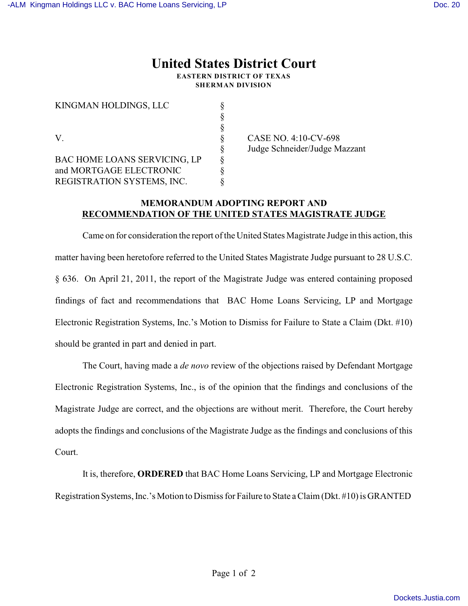## **United States District Court EASTERN DISTRICT OF TEXAS**

**SHERMAN DIVISION**

| KINGMAN HOLDINGS, LLC        |  |
|------------------------------|--|
|                              |  |
|                              |  |
| V                            |  |
|                              |  |
| BAC HOME LOANS SERVICING, LP |  |
| and MORTGAGE ELECTRONIC      |  |
| REGISTRATION SYSTEMS, INC.   |  |

CASE NO. 4:10-CV-698 § Judge Schneider/Judge Mazzant

## **MEMORANDUM ADOPTING REPORT AND RECOMMENDATION OF THE UNITED STATES MAGISTRATE JUDGE**

Came on for consideration the report of the United States Magistrate Judge in this action, this matter having been heretofore referred to the United States Magistrate Judge pursuant to 28 U.S.C. § 636. On April 21, 2011, the report of the Magistrate Judge was entered containing proposed findings of fact and recommendations that BAC Home Loans Servicing, LP and Mortgage Electronic Registration Systems, Inc.'s Motion to Dismiss for Failure to State a Claim (Dkt. #10) should be granted in part and denied in part.

The Court, having made a *de novo* review of the objections raised by Defendant Mortgage Electronic Registration Systems, Inc., is of the opinion that the findings and conclusions of the Magistrate Judge are correct, and the objections are without merit. Therefore, the Court hereby adopts the findings and conclusions of the Magistrate Judge as the findings and conclusions of this Court.

It is, therefore, **ORDERED** that BAC Home Loans Servicing, LP and Mortgage Electronic Registration Systems, Inc.'s Motion to Dismiss for Failure to State a Claim (Dkt. #10) is GRANTED